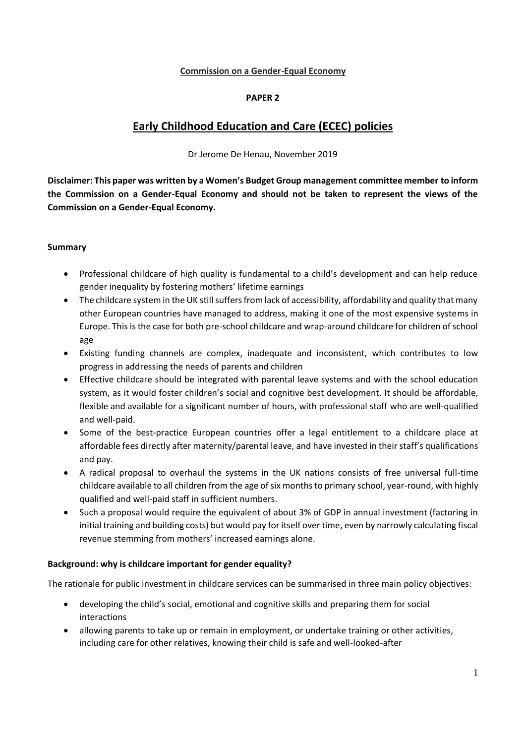#### **Commission on a Gender-Equal Economy**

#### **PAPER 2**

# **Early Childhood Education and Care (ECEC) policies**

Dr Jerome De Henau, November 2019

**Disclaimer: This paper was written by a Women's Budget Group management committee member to inform the Commission on a Gender-Equal Economy and should not be taken to represent the views of the Commission on a Gender-Equal Economy.**

#### **Summary**

- Professional childcare of high quality is fundamental to a child's development and can help reduce gender inequality by fostering mothers' lifetime earnings
- The childcare system in the UK still suffers from lack of accessibility, affordability and quality that many other European countries have managed to address, making it one of the most expensive systems in Europe. This is the case for both pre-school childcare and wrap-around childcare for children of school age
- Existing funding channels are complex, inadequate and inconsistent, which contributes to low progress in addressing the needs of parents and children
- Effective childcare should be integrated with parental leave systems and with the school education system, as it would foster children's social and cognitive best development. It should be affordable, flexible and available for a significant number of hours, with professional staff who are well-qualified and well-paid.
- Some of the best-practice European countries offer a legal entitlement to a childcare place at affordable fees directly after maternity/parental leave, and have invested in their staff's qualifications and pay.
- A radical proposal to overhaul the systems in the UK nations consists of free universal full-time childcare available to all children from the age of six months to primary school, year-round, with highly qualified and well-paid staff in sufficient numbers.
- Such a proposal would require the equivalent of about 3% of GDP in annual investment (factoring in initial training and building costs) but would pay for itself over time, even by narrowly calculating fiscal revenue stemming from mothers' increased earnings alone.

## **Background: why is childcare important for gender equality?**

The rationale for public investment in childcare services can be summarised in three main policy objectives:

- developing the child's social, emotional and cognitive skills and preparing them for social interactions
- allowing parents to take up or remain in employment, or undertake training or other activities, including care for other relatives, knowing their child is safe and well-looked-after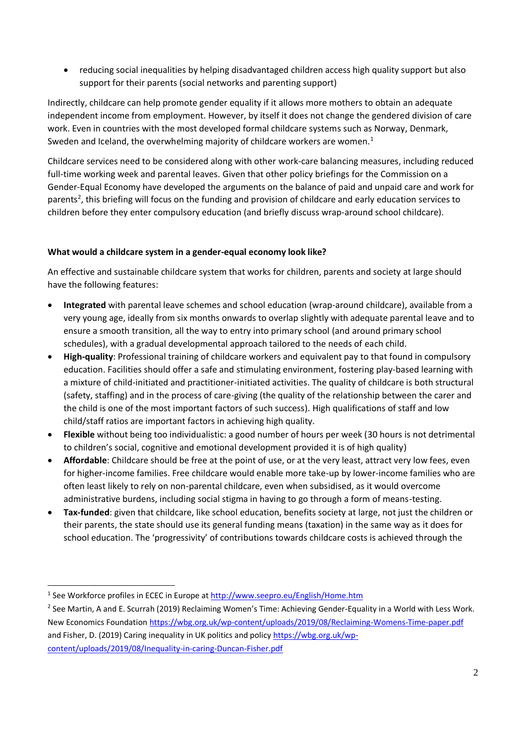• reducing social inequalities by helping disadvantaged children access high quality support but also support for their parents (social networks and parenting support)

Indirectly, childcare can help promote gender equality if it allows more mothers to obtain an adequate independent income from employment. However, by itself it does not change the gendered division of care work. Even in countries with the most developed formal childcare systems such as Norway, Denmark, Sweden and Iceland, the overwhelming majority of childcare workers are women. $<sup>1</sup>$ </sup>

Childcare services need to be considered along with other work-care balancing measures, including reduced full-time working week and parental leaves. Given that other policy briefings for the Commission on a Gender-Equal Economy have developed the arguments on the balance of paid and unpaid care and work for parents<sup>2</sup>, this briefing will focus on the funding and provision of childcare and early education services to children before they enter compulsory education (and briefly discuss wrap-around school childcare).

## **What would a childcare system in a gender-equal economy look like?**

An effective and sustainable childcare system that works for children, parents and society at large should have the following features:

- **Integrated** with parental leave schemes and school education (wrap-around childcare), available from a very young age, ideally from six months onwards to overlap slightly with adequate parental leave and to ensure a smooth transition, all the way to entry into primary school (and around primary school schedules), with a gradual developmental approach tailored to the needs of each child.
- **High-quality**: Professional training of childcare workers and equivalent pay to that found in compulsory education. Facilities should offer a safe and stimulating environment, fostering play-based learning with a mixture of child-initiated and practitioner-initiated activities. The quality of childcare is both structural (safety, staffing) and in the process of care-giving (the quality of the relationship between the carer and the child is one of the most important factors of such success). High qualifications of staff and low child/staff ratios are important factors in achieving high quality.
- **Flexible** without being too individualistic: a good number of hours per week (30 hours is not detrimental to children's social, cognitive and emotional development provided it is of high quality)
- **Affordable**: Childcare should be free at the point of use, or at the very least, attract very low fees, even for higher-income families. Free childcare would enable more take-up by lower-income families who are often least likely to rely on non-parental childcare, even when subsidised, as it would overcome administrative burdens, including social stigma in having to go through a form of means-testing.
- **Tax-funded**: given that childcare, like school education, benefits society at large, not just the children or their parents, the state should use its general funding means (taxation) in the same way as it does for school education. The 'progressivity' of contributions towards childcare costs is achieved through the

<sup>&</sup>lt;sup>1</sup> See Workforce profiles in ECEC in Europe a[t http://www.seepro.eu/English/Home.htm](http://www.seepro.eu/English/Home.htm)

<sup>&</sup>lt;sup>2</sup> See Martin, A and E. Scurrah (2019) Reclaiming Women's Time: Achieving Gender-Equality in a World with Less Work. New Economics Foundation<https://wbg.org.uk/wp-content/uploads/2019/08/Reclaiming-Womens-Time-paper.pdf> and Fisher, D. (2019) Caring inequality in UK politics and policy [https://wbg.org.uk/wp](https://wbg.org.uk/wp-content/uploads/2019/08/Inequality-in-caring-Duncan-Fisher.pdf)[content/uploads/2019/08/Inequality-in-caring-Duncan-Fisher.pdf](https://wbg.org.uk/wp-content/uploads/2019/08/Inequality-in-caring-Duncan-Fisher.pdf)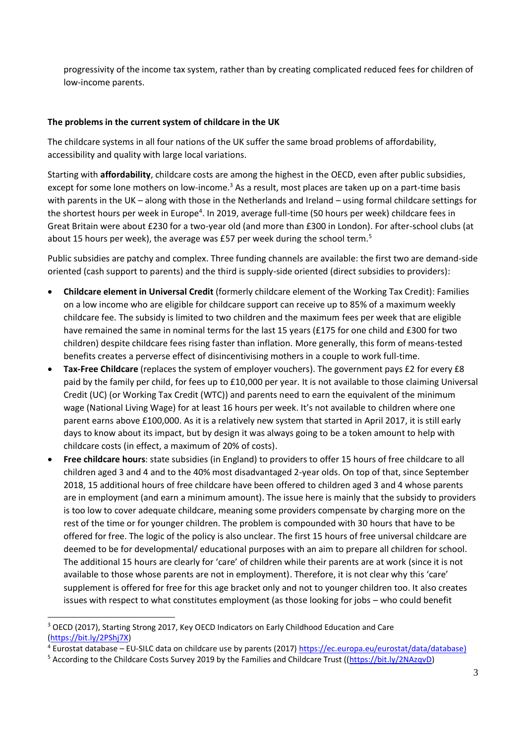progressivity of the income tax system, rather than by creating complicated reduced fees for children of low-income parents.

#### **The problems in the current system of childcare in the UK**

The childcare systems in all four nations of the UK suffer the same broad problems of affordability, accessibility and quality with large local variations.

Starting with **affordability**, childcare costs are among the highest in the OECD, even after public subsidies, except for some lone mothers on low-income.<sup>3</sup> As a result, most places are taken up on a part-time basis with parents in the UK – along with those in the Netherlands and Ireland – using formal childcare settings for the shortest hours per week in Europe<sup>4</sup>. In 2019, average full-time (50 hours per week) childcare fees in Great Britain were about £230 for a two-year old (and more than £300 in London). For after-school clubs (at about 15 hours per week), the average was £57 per week during the school term.<sup>5</sup>

Public subsidies are patchy and complex. Three funding channels are available: the first two are demand-side oriented (cash support to parents) and the third is supply-side oriented (direct subsidies to providers):

- **Childcare element in Universal Credit** (formerly childcare element of the Working Tax Credit): Families on a low income who are eligible for childcare support can receive up to 85% of a maximum weekly childcare fee. The subsidy is limited to two children and the maximum fees per week that are eligible have remained the same in nominal terms for the last 15 years (£175 for one child and £300 for two children) despite childcare fees rising faster than inflation. More generally, this form of means-tested benefits creates a perverse effect of disincentivising mothers in a couple to work full-time.
- **Tax-Free Childcare** (replaces the system of employer vouchers). The government pays £2 for every £8 paid by the family per child, for fees up to £10,000 per year. It is not available to those claiming Universal Credit (UC) (or Working Tax Credit (WTC)) and parents need to earn the equivalent of the minimum wage (National Living Wage) for at least 16 hours per week. It's not available to children where one parent earns above £100,000. As it is a relatively new system that started in April 2017, it is still early days to know about its impact, but by design it was always going to be a token amount to help with childcare costs (in effect, a maximum of 20% of costs).
- **Free childcare hours**: state subsidies (in England) to providers to offer 15 hours of free childcare to all children aged 3 and 4 and to the 40% most disadvantaged 2-year olds. On top of that, since September 2018, 15 additional hours of free childcare have been offered to children aged 3 and 4 whose parents are in employment (and earn a minimum amount). The issue here is mainly that the subsidy to providers is too low to cover adequate childcare, meaning some providers compensate by charging more on the rest of the time or for younger children. The problem is compounded with 30 hours that have to be offered for free. The logic of the policy is also unclear. The first 15 hours of free universal childcare are deemed to be for developmental/ educational purposes with an aim to prepare all children for school. The additional 15 hours are clearly for 'care' of children while their parents are at work (since it is not available to those whose parents are not in employment). Therefore, it is not clear why this 'care' supplement is offered for free for this age bracket only and not to younger children too. It also creates issues with respect to what constitutes employment (as those looking for jobs – who could benefit

<sup>&</sup>lt;sup>3</sup> OECD (2017), Starting Strong 2017, Key OECD Indicators on Early Childhood Education and Care [\(https://bit.ly/2PShj7X\)](https://bit.ly/2PShj7X)

<sup>4</sup> Eurostat database – EU-SILC data on childcare use by parents (2017[\) https://ec.europa.eu/eurostat/data/database\)](https://ec.europa.eu/eurostat/data/database)

<sup>&</sup>lt;sup>5</sup> According to the Childcare Costs Survey 2019 by the Families and Childcare Trust ([\(https://bit.ly/2NAzqvD\)](https://bit.ly/2NAzqvD)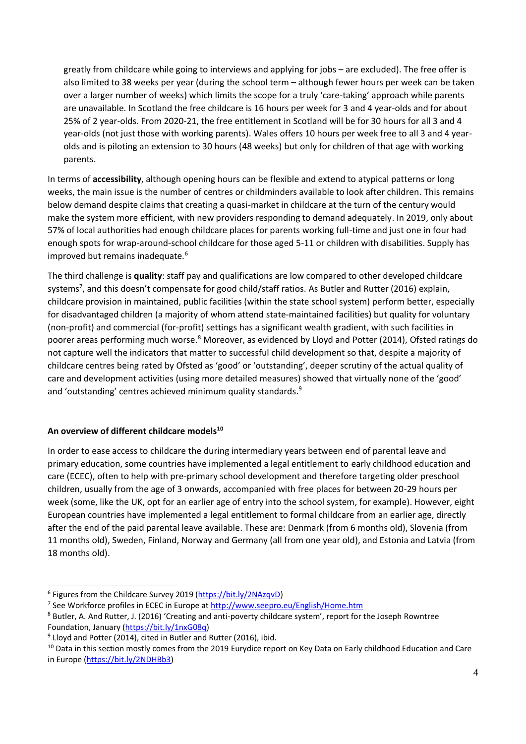greatly from childcare while going to interviews and applying for jobs – are excluded). The free offer is also limited to 38 weeks per year (during the school term – although fewer hours per week can be taken over a larger number of weeks) which limits the scope for a truly 'care-taking' approach while parents are unavailable. In Scotland the free childcare is 16 hours per week for 3 and 4 year-olds and for about 25% of 2 year-olds. From 2020-21, the free entitlement in Scotland will be for 30 hours for all 3 and 4 year-olds (not just those with working parents). Wales offers 10 hours per week free to all 3 and 4 yearolds and is piloting an extension to 30 hours (48 weeks) but only for children of that age with working parents.

In terms of **accessibility**, although opening hours can be flexible and extend to atypical patterns or long weeks, the main issue is the number of centres or childminders available to look after children. This remains below demand despite claims that creating a quasi-market in childcare at the turn of the century would make the system more efficient, with new providers responding to demand adequately. In 2019, only about 57% of local authorities had enough childcare places for parents working full-time and just one in four had enough spots for wrap-around-school childcare for those aged 5-11 or children with disabilities. Supply has improved but remains inadequate.<sup>6</sup>

The third challenge is **quality**: staff pay and qualifications are low compared to other developed childcare systems<sup>7</sup>, and this doesn't compensate for good child/staff ratios. As Butler and Rutter (2016) explain, childcare provision in maintained, public facilities (within the state school system) perform better, especially for disadvantaged children (a majority of whom attend state-maintained facilities) but quality for voluntary (non-profit) and commercial (for-profit) settings has a significant wealth gradient, with such facilities in poorer areas performing much worse.<sup>8</sup> Moreover, as evidenced by Lloyd and Potter (2014), Ofsted ratings do not capture well the indicators that matter to successful child development so that, despite a majority of childcare centres being rated by Ofsted as 'good' or 'outstanding', deeper scrutiny of the actual quality of care and development activities (using more detailed measures) showed that virtually none of the 'good' and 'outstanding' centres achieved minimum quality standards.<sup>9</sup>

## **An overview of different childcare models<sup>10</sup>**

In order to ease access to childcare the during intermediary years between end of parental leave and primary education, some countries have implemented a legal entitlement to early childhood education and care (ECEC), often to help with pre-primary school development and therefore targeting older preschool children, usually from the age of 3 onwards, accompanied with free places for between 20-29 hours per week (some, like the UK, opt for an earlier age of entry into the school system, for example). However, eight European countries have implemented a legal entitlement to formal childcare from an earlier age, directly after the end of the paid parental leave available. These are: Denmark (from 6 months old), Slovenia (from 11 months old), Sweden, Finland, Norway and Germany (all from one year old), and Estonia and Latvia (from 18 months old).

<sup>&</sup>lt;sup>6</sup> Figures from the Childcare Survey 2019 [\(https://bit.ly/2NAzqvD\)](https://bit.ly/2NAzqvD)

<sup>&</sup>lt;sup>7</sup> See Workforce profiles in ECEC in Europe a[t http://www.seepro.eu/English/Home.htm](http://www.seepro.eu/English/Home.htm)

<sup>8</sup> Butler, A. And Rutter, J. (2016) 'Creating and anti-poverty childcare system', report for the Joseph Rowntree Foundation, January [\(https://bit.ly/1nxG08q\)](https://bit.ly/1nxG08q)

<sup>&</sup>lt;sup>9</sup> Lloyd and Potter (2014), cited in Butler and Rutter (2016), ibid.

<sup>&</sup>lt;sup>10</sup> Data in this section mostly comes from the 2019 Eurydice report on Key Data on Early childhood Education and Care in Europe [\(https://bit.ly/2NDHBb3\)](https://bit.ly/2NDHBb3)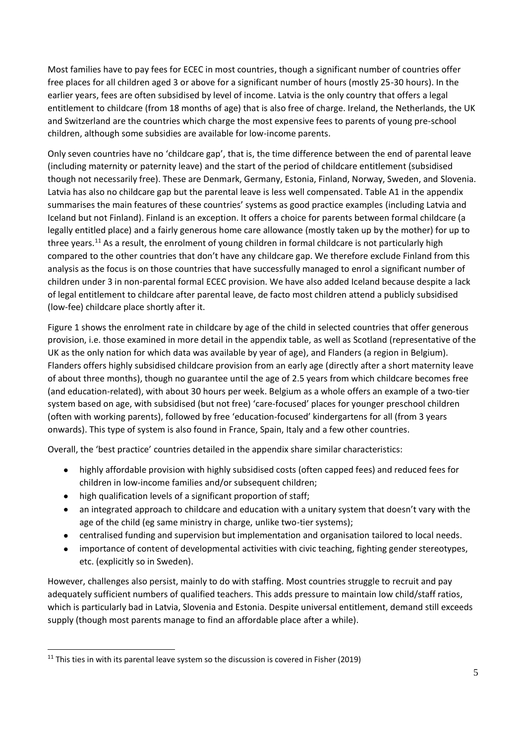Most families have to pay fees for ECEC in most countries, though a significant number of countries offer free places for all children aged 3 or above for a significant number of hours (mostly 25-30 hours). In the earlier years, fees are often subsidised by level of income. Latvia is the only country that offers a legal entitlement to childcare (from 18 months of age) that is also free of charge. Ireland, the Netherlands, the UK and Switzerland are the countries which charge the most expensive fees to parents of young pre-school children, although some subsidies are available for low-income parents.

Only seven countries have no 'childcare gap', that is, the time difference between the end of parental leave (including maternity or paternity leave) and the start of the period of childcare entitlement (subsidised though not necessarily free). These are Denmark, Germany, Estonia, Finland, Norway, Sweden, and Slovenia. Latvia has also no childcare gap but the parental leave is less well compensated. Table A1 in the appendix summarises the main features of these countries' systems as good practice examples (including Latvia and Iceland but not Finland). Finland is an exception. It offers a choice for parents between formal childcare (a legally entitled place) and a fairly generous home care allowance (mostly taken up by the mother) for up to three years.<sup>11</sup> As a result, the enrolment of young children in formal childcare is not particularly high compared to the other countries that don't have any childcare gap. We therefore exclude Finland from this analysis as the focus is on those countries that have successfully managed to enrol a significant number of children under 3 in non-parental formal ECEC provision. We have also added Iceland because despite a lack of legal entitlement to childcare after parental leave, de facto most children attend a publicly subsidised (low-fee) childcare place shortly after it.

Figure 1 shows the enrolment rate in childcare by age of the child in selected countries that offer generous provision, i.e. those examined in more detail in the appendix table, as well as Scotland (representative of the UK as the only nation for which data was available by year of age), and Flanders (a region in Belgium). Flanders offers highly subsidised childcare provision from an early age (directly after a short maternity leave of about three months), though no guarantee until the age of 2.5 years from which childcare becomes free (and education-related), with about 30 hours per week. Belgium as a whole offers an example of a two-tier system based on age, with subsidised (but not free) 'care-focused' places for younger preschool children (often with working parents), followed by free 'education-focused' kindergartens for all (from 3 years onwards). This type of system is also found in France, Spain, Italy and a few other countries.

Overall, the 'best practice' countries detailed in the appendix share similar characteristics:

- highly affordable provision with highly subsidised costs (often capped fees) and reduced fees for children in low-income families and/or subsequent children;
- high qualification levels of a significant proportion of staff;
- an integrated approach to childcare and education with a unitary system that doesn't vary with the age of the child (eg same ministry in charge, unlike two-tier systems);
- centralised funding and supervision but implementation and organisation tailored to local needs.
- importance of content of developmental activities with civic teaching, fighting gender stereotypes, etc. (explicitly so in Sweden).

However, challenges also persist, mainly to do with staffing. Most countries struggle to recruit and pay adequately sufficient numbers of qualified teachers. This adds pressure to maintain low child/staff ratios, which is particularly bad in Latvia, Slovenia and Estonia. Despite universal entitlement, demand still exceeds supply (though most parents manage to find an affordable place after a while).

<sup>&</sup>lt;sup>11</sup> This ties in with its parental leave system so the discussion is covered in Fisher (2019)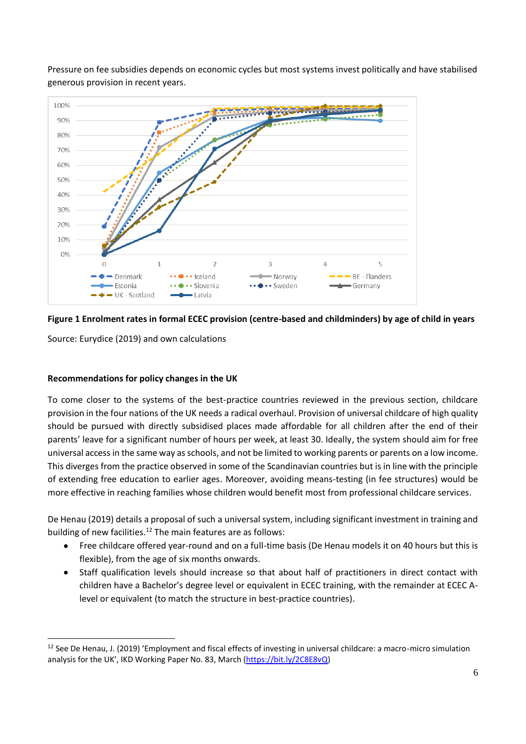Pressure on fee subsidies depends on economic cycles but most systems invest politically and have stabilised generous provision in recent years.



## **Figure 1 Enrolment rates in formal ECEC provision (centre-based and childminders) by age of child in years**

Source: Eurydice (2019) and own calculations

## **Recommendations for policy changes in the UK**

To come closer to the systems of the best-practice countries reviewed in the previous section, childcare provision in the four nations of the UK needs a radical overhaul. Provision of universal childcare of high quality should be pursued with directly subsidised places made affordable for all children after the end of their parents' leave for a significant number of hours per week, at least 30. Ideally, the system should aim for free universal access in the same way as schools, and not be limited to working parents or parents on a low income. This diverges from the practice observed in some of the Scandinavian countries but is in line with the principle of extending free education to earlier ages. Moreover, avoiding means-testing (in fee structures) would be more effective in reaching families whose children would benefit most from professional childcare services.

De Henau (2019) details a proposal of such a universal system, including significant investment in training and building of new facilities.<sup>12</sup> The main features are as follows:

- Free childcare offered year-round and on a full-time basis (De Henau models it on 40 hours but this is flexible), from the age of six months onwards.
- Staff qualification levels should increase so that about half of practitioners in direct contact with children have a Bachelor's degree level or equivalent in ECEC training, with the remainder at ECEC Alevel or equivalent (to match the structure in best-practice countries).

 $12$  See De Henau, J. (2019) 'Employment and fiscal effects of investing in universal childcare: a macro-micro simulation analysis for the UK', IKD Working Paper No. 83, March [\(https://bit.ly/2C8E8vQ\)](https://bit.ly/2C8E8vQ)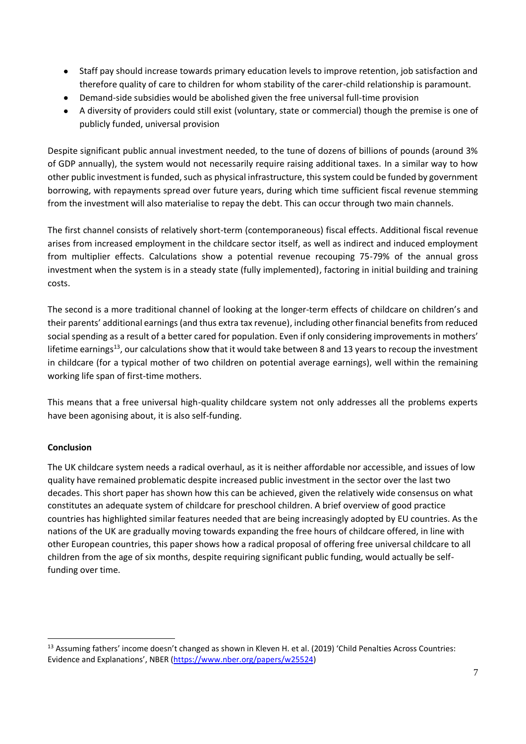- Staff pay should increase towards primary education levels to improve retention, job satisfaction and therefore quality of care to children for whom stability of the carer-child relationship is paramount.
- Demand-side subsidies would be abolished given the free universal full-time provision
- A diversity of providers could still exist (voluntary, state or commercial) though the premise is one of publicly funded, universal provision

Despite significant public annual investment needed, to the tune of dozens of billions of pounds (around 3% of GDP annually), the system would not necessarily require raising additional taxes. In a similar way to how other public investment is funded, such as physical infrastructure, this system could be funded by government borrowing, with repayments spread over future years, during which time sufficient fiscal revenue stemming from the investment will also materialise to repay the debt. This can occur through two main channels.

The first channel consists of relatively short-term (contemporaneous) fiscal effects. Additional fiscal revenue arises from increased employment in the childcare sector itself, as well as indirect and induced employment from multiplier effects. Calculations show a potential revenue recouping 75-79% of the annual gross investment when the system is in a steady state (fully implemented), factoring in initial building and training costs.

The second is a more traditional channel of looking at the longer-term effects of childcare on children's and their parents' additional earnings (and thus extra tax revenue), including other financial benefits from reduced social spending as a result of a better cared for population. Even if only considering improvements in mothers' lifetime earnings<sup>13</sup>, our calculations show that it would take between 8 and 13 years to recoup the investment in childcare (for a typical mother of two children on potential average earnings), well within the remaining working life span of first-time mothers.

This means that a free universal high-quality childcare system not only addresses all the problems experts have been agonising about, it is also self-funding.

## **Conclusion**

The UK childcare system needs a radical overhaul, as it is neither affordable nor accessible, and issues of low quality have remained problematic despite increased public investment in the sector over the last two decades. This short paper has shown how this can be achieved, given the relatively wide consensus on what constitutes an adequate system of childcare for preschool children. A brief overview of good practice countries has highlighted similar features needed that are being increasingly adopted by EU countries. As the nations of the UK are gradually moving towards expanding the free hours of childcare offered, in line with other European countries, this paper shows how a radical proposal of offering free universal childcare to all children from the age of six months, despite requiring significant public funding, would actually be selffunding over time.

 $13$  Assuming fathers' income doesn't changed as shown in Kleven H. et al. (2019) 'Child Penalties Across Countries: Evidence and Explanations', NBER ([https://www.nber.org/papers/w25524\)](https://www.nber.org/papers/w25524)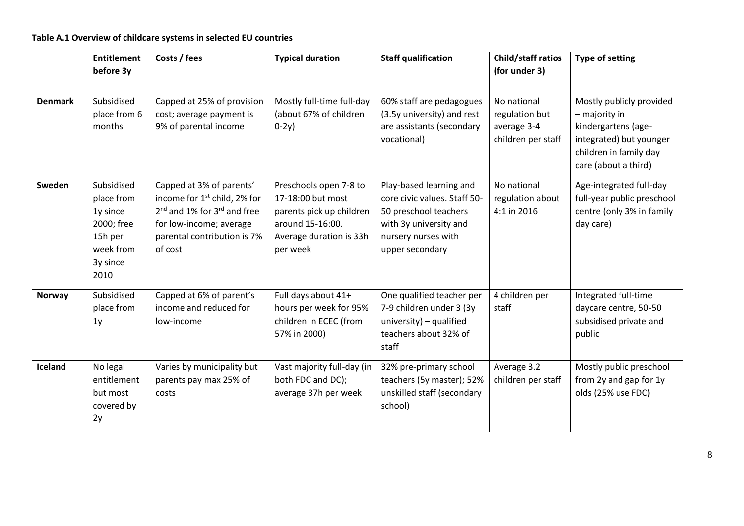## **Table A.1 Overview of childcare systems in selected EU countries**

|                | <b>Entitlement</b><br>before 3y                                                                | Costs / fees                                                                                                                                                                                     | <b>Typical duration</b>                                                                                                            | <b>Staff qualification</b>                                                                                                                           | Child/staff ratios<br>(for under 3)                                | <b>Type of setting</b>                                                                                                                          |
|----------------|------------------------------------------------------------------------------------------------|--------------------------------------------------------------------------------------------------------------------------------------------------------------------------------------------------|------------------------------------------------------------------------------------------------------------------------------------|------------------------------------------------------------------------------------------------------------------------------------------------------|--------------------------------------------------------------------|-------------------------------------------------------------------------------------------------------------------------------------------------|
| <b>Denmark</b> | Subsidised<br>place from 6<br>months                                                           | Capped at 25% of provision<br>cost; average payment is<br>9% of parental income                                                                                                                  | Mostly full-time full-day<br>(about 67% of children<br>$0-2y$ )                                                                    | 60% staff are pedagogues<br>(3.5y university) and rest<br>are assistants (secondary<br>vocational)                                                   | No national<br>regulation but<br>average 3-4<br>children per staff | Mostly publicly provided<br>$-$ majority in<br>kindergartens (age-<br>integrated) but younger<br>children in family day<br>care (about a third) |
| Sweden         | Subsidised<br>place from<br>1y since<br>2000; free<br>15h per<br>week from<br>3y since<br>2010 | Capped at 3% of parents'<br>income for 1 <sup>st</sup> child, 2% for<br>2 <sup>nd</sup> and 1% for 3 <sup>rd</sup> and free<br>for low-income; average<br>parental contribution is 7%<br>of cost | Preschools open 7-8 to<br>17-18:00 but most<br>parents pick up children<br>around 15-16:00.<br>Average duration is 33h<br>per week | Play-based learning and<br>core civic values. Staff 50-<br>50 preschool teachers<br>with 3y university and<br>nursery nurses with<br>upper secondary | No national<br>regulation about<br>4:1 in 2016                     | Age-integrated full-day<br>full-year public preschool<br>centre (only 3% in family<br>day care)                                                 |
| <b>Norway</b>  | Subsidised<br>place from<br>1 <sub>y</sub>                                                     | Capped at 6% of parent's<br>income and reduced for<br>low-income                                                                                                                                 | Full days about 41+<br>hours per week for 95%<br>children in ECEC (from<br>57% in 2000)                                            | One qualified teacher per<br>7-9 children under 3 (3y<br>university) $-$ qualified<br>teachers about 32% of<br>staff                                 | 4 children per<br>staff                                            | Integrated full-time<br>daycare centre, 50-50<br>subsidised private and<br>public                                                               |
| Iceland        | No legal<br>entitlement<br>but most<br>covered by<br>2y                                        | Varies by municipality but<br>parents pay max 25% of<br>costs                                                                                                                                    | Vast majority full-day (in<br>both FDC and DC);<br>average 37h per week                                                            | 32% pre-primary school<br>teachers (5y master); 52%<br>unskilled staff (secondary<br>school)                                                         | Average 3.2<br>children per staff                                  | Mostly public preschool<br>from 2y and gap for 1y<br>olds (25% use FDC)                                                                         |